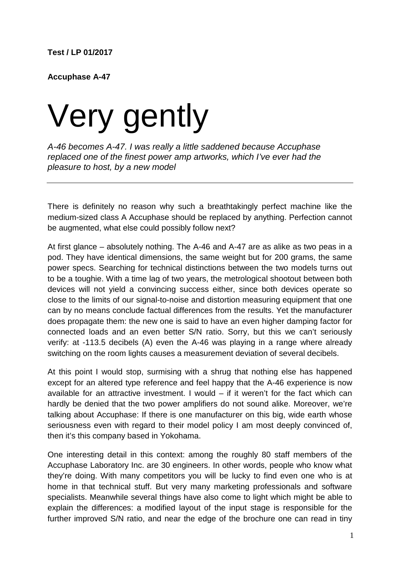**Accuphase A-47**

## Very gently

*A-46 becomes A-47. I was really a little saddened because Accuphase replaced one of the finest power amp artworks, which I've ever had the pleasure to host, by a new model*

There is definitely no reason why such a breathtakingly perfect machine like the medium-sized class A Accuphase should be replaced by anything. Perfection cannot be augmented, what else could possibly follow next?

At first glance – absolutely nothing. The A-46 and A-47 are as alike as two peas in a pod. They have identical dimensions, the same weight but for 200 grams, the same power specs. Searching for technical distinctions between the two models turns out to be a toughie. With a time lag of two years, the metrological shootout between both devices will not yield a convincing success either, since both devices operate so close to the limits of our signal-to-noise and distortion measuring equipment that one can by no means conclude factual differences from the results. Yet the manufacturer does propagate them: the new one is said to have an even higher damping factor for connected loads and an even better S/N ratio. Sorry, but this we can't seriously verify: at -113.5 decibels (A) even the A-46 was playing in a range where already switching on the room lights causes a measurement deviation of several decibels.

At this point I would stop, surmising with a shrug that nothing else has happened except for an altered type reference and feel happy that the A-46 experience is now available for an attractive investment. I would – if it weren't for the fact which can hardly be denied that the two power amplifiers do not sound alike. Moreover, we're talking about Accuphase: If there is one manufacturer on this big, wide earth whose seriousness even with regard to their model policy I am most deeply convinced of, then it's this company based in Yokohama.

One interesting detail in this context: among the roughly 80 staff members of the Accuphase Laboratory Inc. are 30 engineers. In other words, people who know what they're doing. With many competitors you will be lucky to find even one who is at home in that technical stuff. But very many marketing professionals and software specialists. Meanwhile several things have also come to light which might be able to explain the differences: a modified layout of the input stage is responsible for the further improved S/N ratio, and near the edge of the brochure one can read in tiny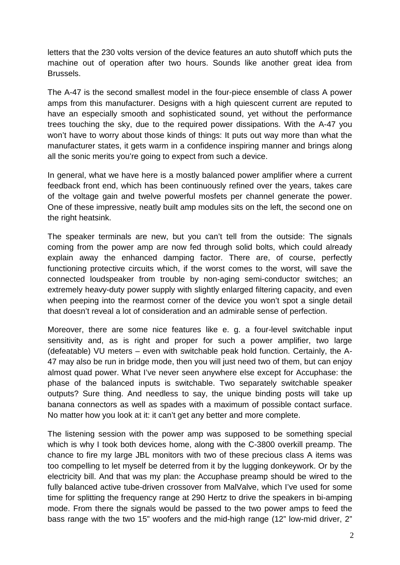letters that the 230 volts version of the device features an auto shutoff which puts the machine out of operation after two hours. Sounds like another great idea from Brussels.

The A-47 is the second smallest model in the four-piece ensemble of class A power amps from this manufacturer. Designs with a high quiescent current are reputed to have an especially smooth and sophisticated sound, yet without the performance trees touching the sky, due to the required power dissipations. With the A-47 you won't have to worry about those kinds of things: It puts out way more than what the manufacturer states, it gets warm in a confidence inspiring manner and brings along all the sonic merits you're going to expect from such a device.

In general, what we have here is a mostly balanced power amplifier where a current feedback front end, which has been continuously refined over the years, takes care of the voltage gain and twelve powerful mosfets per channel generate the power. One of these impressive, neatly built amp modules sits on the left, the second one on the right heatsink.

The speaker terminals are new, but you can't tell from the outside: The signals coming from the power amp are now fed through solid bolts, which could already explain away the enhanced damping factor. There are, of course, perfectly functioning protective circuits which, if the worst comes to the worst, will save the connected loudspeaker from trouble by non-aging semi-conductor switches; an extremely heavy-duty power supply with slightly enlarged filtering capacity, and even when peeping into the rearmost corner of the device you won't spot a single detail that doesn't reveal a lot of consideration and an admirable sense of perfection.

Moreover, there are some nice features like e. g. a four-level switchable input sensitivity and, as is right and proper for such a power amplifier, two large (defeatable) VU meters – even with switchable peak hold function. Certainly, the A-47 may also be run in bridge mode, then you will just need two of them, but can enjoy almost quad power. What I've never seen anywhere else except for Accuphase: the phase of the balanced inputs is switchable. Two separately switchable speaker outputs? Sure thing. And needless to say, the unique binding posts will take up banana connectors as well as spades with a maximum of possible contact surface. No matter how you look at it: it can't get any better and more complete.

The listening session with the power amp was supposed to be something special which is why I took both devices home, along with the C-3800 overkill preamp. The chance to fire my large JBL monitors with two of these precious class A items was too compelling to let myself be deterred from it by the lugging donkeywork. Or by the electricity bill. And that was my plan: the Accuphase preamp should be wired to the fully balanced active tube-driven crossover from MalValve, which I've used for some time for splitting the frequency range at 290 Hertz to drive the speakers in bi-amping mode. From there the signals would be passed to the two power amps to feed the bass range with the two 15" woofers and the mid-high range (12" low-mid driver, 2"